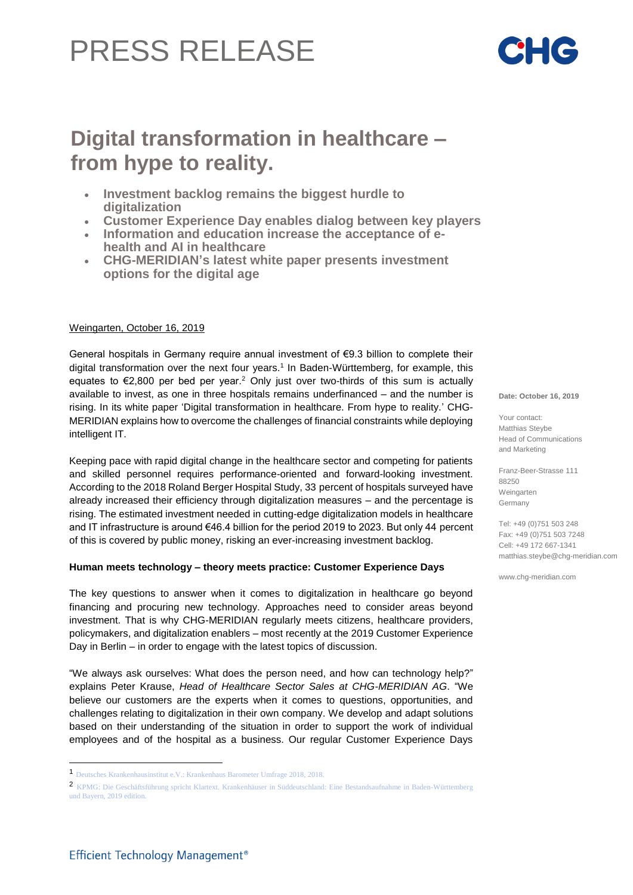# PRESS RELEASE

# **Digital transformation in healthcare – from hype to reality.**

- **Investment backlog remains the biggest hurdle to digitalization**
- **Customer Experience Day enables dialog between key players**
- **Information and education increase the acceptance of ehealth and AI in healthcare**
- **CHG-MERIDIAN's latest white paper presents investment options for the digital age**

# Weingarten, October 16, 2019

General hospitals in Germany require annual investment of €9.3 billion to complete their digital transformation over the next four years.<sup>1</sup> In Baden-Württemberg, for example, this equates to  $\epsilon$ 2,800 per bed per year.<sup>2</sup> Only just over two-thirds of this sum is actually available to invest, as one in three hospitals remains underfinanced – and the number is rising. In its white paper 'Digital transformation in healthcare. From hype to reality.' CHG-MERIDIAN explains how to overcome the challenges of financial constraints while deploying intelligent IT.

Keeping pace with rapid digital change in the healthcare sector and competing for patients and skilled personnel requires performance-oriented and forward-looking investment. According to the 2018 Roland Berger Hospital Study, 33 percent of hospitals surveyed have already increased their efficiency through digitalization measures – and the percentage is rising. The estimated investment needed in cutting-edge digitalization models in healthcare and IT infrastructure is around €46.4 billion for the period 2019 to 2023. But only 44 percent of this is covered by public money, risking an ever-increasing investment backlog.

## **Human meets technology – theory meets practice: Customer Experience Days**

The key questions to answer when it comes to digitalization in healthcare go beyond financing and procuring new technology. Approaches need to consider areas beyond investment. That is why CHG-MERIDIAN regularly meets citizens, healthcare providers, policymakers, and digitalization enablers – most recently at the 2019 Customer Experience Day in Berlin – in order to engage with the latest topics of discussion.

"We always ask ourselves: What does the person need, and how can technology help?" explains Peter Krause, *Head of Healthcare Sector Sales at CHG-MERIDIAN AG*. "We believe our customers are the experts when it comes to questions, opportunities, and challenges relating to digitalization in their own company. We develop and adapt solutions based on their understanding of the situation in order to support the work of individual employees and of the hospital as a business. Our regular Customer Experience Days

**Date: October 16, 2019** 

Your contact: Matthias Steybe Head of Communications and Marketing

Franz-Beer-Strasse 111 88250 Weingarten Germany

Tel: +49 (0)751 503 248 Fax: +49 (0)751 503 7248 Cell: +49 172 667-1341 matthias.steybe@chg-meridian.com

www.chg-meridian.com

l



<sup>1</sup> Deutsches Krankenhausinstitut e.V.: Krankenhaus Barometer Umfrage 2018, 2018.

<sup>2</sup> KPMG: Die Geschäftsführung spricht Klartext. Krankenhäuser in Süddeutschland: Eine Bestandsaufnahme in Baden-Württemberg und Bayern, 2019 edition.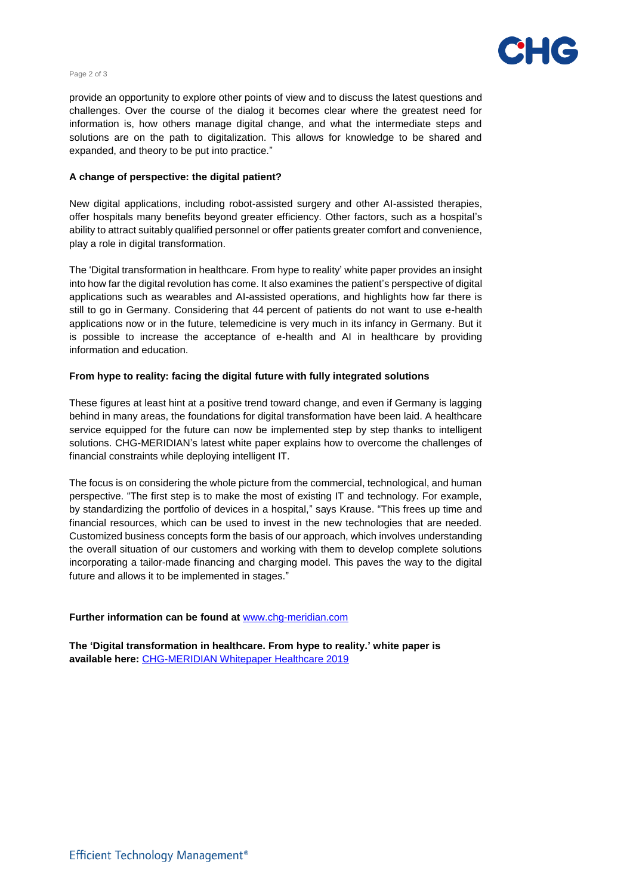

#### Page 2 of 3

information is, how others manage digital change, and what the intermediate steps and provide an opportunity to explore other points of view and to discuss the latest questions and challenges. Over the course of the dialog it becomes clear where the greatest need for solutions are on the path to digitalization. This allows for knowledge to be shared and expanded, and theory to be put into practice."

#### **A change of perspective: the digital patient?**

New digital applications, including robot-assisted surgery and other AI-assisted therapies, offer hospitals many benefits beyond greater efficiency. Other factors, such as a hospital's ability to attract suitably qualified personnel or offer patients greater comfort and convenience, play a role in digital transformation.

The 'Digital transformation in healthcare. From hype to reality' white paper provides an insight into how far the digital revolution has come. It also examines the patient's perspective of digital applications such as wearables and AI-assisted operations, and highlights how far there is still to go in Germany. Considering that 44 percent of patients do not want to use e-health applications now or in the future, telemedicine is very much in its infancy in Germany. But it is possible to increase the acceptance of e-health and AI in healthcare by providing information and education.

#### **From hype to reality: facing the digital future with fully integrated solutions**

These figures at least hint at a positive trend toward change, and even if Germany is lagging behind in many areas, the foundations for digital transformation have been laid. A healthcare service equipped for the future can now be implemented step by step thanks to intelligent solutions. CHG-MERIDIAN's latest white paper explains how to overcome the challenges of financial constraints while deploying intelligent IT.

The focus is on considering the whole picture from the commercial, technological, and human perspective. "The first step is to make the most of existing IT and technology. For example, by standardizing the portfolio of devices in a hospital," says Krause. "This frees up time and financial resources, which can be used to invest in the new technologies that are needed. Customized business concepts form the basis of our approach, which involves understanding the overall situation of our customers and working with them to develop complete solutions incorporating a tailor-made financing and charging model. This paves the way to the digital future and allows it to be implemented in stages."

## **Further information can be found at** [www.chg-meridian.com](http://www.chg-meridian.com/)

**The 'Digital transformation in healthcare. From hype to reality.' white paper is available here:** [CHG-MERIDIAN Whitepaper Healthcare 2019](https://www.chg-meridian.com/de/explore-chg/media-center/whitepaper-form.html?whitepaper=9e2ae824-4aa5-46b8-bca8-d4cffb236706)